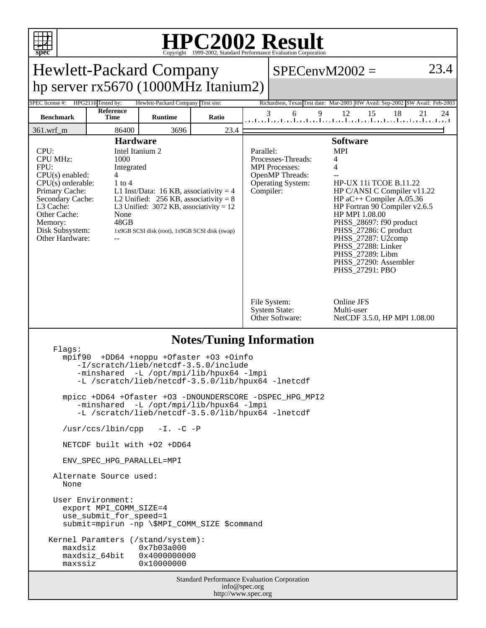

## **HPC2002 Result** Copyright 1999-2002, Standard Performance Evaluation Corporation

| spec<br>Copyright ©1999-2002, Standard Performance Evaluation Corporation                                                                                                                                                                                                                                                                                                                                                                                                        |                          |                                    |       |                                                                                                                                                                                                                                                                                                                                                                                                                                                                           |        |                                                                             |          |
|----------------------------------------------------------------------------------------------------------------------------------------------------------------------------------------------------------------------------------------------------------------------------------------------------------------------------------------------------------------------------------------------------------------------------------------------------------------------------------|--------------------------|------------------------------------|-------|---------------------------------------------------------------------------------------------------------------------------------------------------------------------------------------------------------------------------------------------------------------------------------------------------------------------------------------------------------------------------------------------------------------------------------------------------------------------------|--------|-----------------------------------------------------------------------------|----------|
| 23.4<br><b>Hewlett-Packard Company</b><br>$SPECenvM2002 =$                                                                                                                                                                                                                                                                                                                                                                                                                       |                          |                                    |       |                                                                                                                                                                                                                                                                                                                                                                                                                                                                           |        |                                                                             |          |
| hp server $rx5670(1000MHz$ Itanium2)                                                                                                                                                                                                                                                                                                                                                                                                                                             |                          |                                    |       |                                                                                                                                                                                                                                                                                                                                                                                                                                                                           |        |                                                                             |          |
| SPEC license #:                                                                                                                                                                                                                                                                                                                                                                                                                                                                  | HPG2116 Tested by:       | Hewlett-Packard Company Test site: |       |                                                                                                                                                                                                                                                                                                                                                                                                                                                                           |        | Richardson, Texas Test date: Mar-2003 HW Avail: Sep-2002 SW Avail: Feb-2003 |          |
| <b>Benchmark</b>                                                                                                                                                                                                                                                                                                                                                                                                                                                                 | Reference<br><b>Time</b> | <b>Runtime</b>                     | Ratio |                                                                                                                                                                                                                                                                                                                                                                                                                                                                           | 9<br>6 | 12<br>15<br>18<br>المتلميا بملتما بملتما بملتما بملتما بملتما بملتما بملتم  | 21<br>24 |
| $361.wrf_m$                                                                                                                                                                                                                                                                                                                                                                                                                                                                      | 86400                    | 3696                               | 23.4  |                                                                                                                                                                                                                                                                                                                                                                                                                                                                           |        |                                                                             |          |
| <b>Hardware</b><br>CPU:<br>Intel Itanium 2<br><b>CPU MHz:</b><br>1000<br>FPU:<br>Integrated<br>CPU(s) enabled:<br>4<br>$CPU(s)$ orderable:<br>$1$ to $4$<br>Primary Cache:<br>L1 Inst/Data: 16 KB, associativity = 4<br>Secondary Cache:<br>L2 Unified: $256$ KB, associativity = 8<br>L3 Cache:<br>L3 Unified: $3072$ KB, associativity = 12<br>Other Cache:<br>None<br>48GB<br>Memory:<br>Disk Subsystem:<br>1x9GB SCSI disk (root), 1x9GB SCSI disk (swap)<br>Other Hardware: |                          |                                    |       | <b>Software</b><br><b>MPI</b><br>Parallel:<br>Processes-Threads:<br>4<br><b>MPI</b> Processes:<br>4<br>OpenMP Threads:<br><b>HP-UX 11i TCOE B.11.22</b><br>Operating System:<br>HP C/ANSI C Compiler v11.22<br>Compiler:<br>HP $aC++$ Compiler A.05.36<br>HP Fortran 90 Compiler v2.6.5<br>HP MPI 1.08.00<br>PHSS_28697: f90 product<br>PHSS_27286: C product<br>PHSS_27287: U2comp<br>PHSS_27288: Linker<br>PHSS_27289: Libm<br>PHSS_27290: Assembler<br>PHSS_27291: PBO |        |                                                                             |          |
|                                                                                                                                                                                                                                                                                                                                                                                                                                                                                  |                          |                                    |       | Online JFS<br>File System:<br><b>System State:</b><br>Multi-user<br>Other Software:<br>NetCDF 3.5.0, HP MPI 1.08.00                                                                                                                                                                                                                                                                                                                                                       |        |                                                                             |          |
| <b>Notes/Tuning Information</b><br>Flags:                                                                                                                                                                                                                                                                                                                                                                                                                                        |                          |                                    |       |                                                                                                                                                                                                                                                                                                                                                                                                                                                                           |        |                                                                             |          |
| +DD64 +noppu +Ofaster +03 +Oinfo<br>mpif90<br>-I/scratch/lieb/netcdf-3.5.0/include<br>-minshared -L /opt/mpi/lib/hpux64 -lmpi<br>-L /scratch/lieb/netcdf-3.5.0/lib/hpux64 -lnetcdf                                                                                                                                                                                                                                                                                               |                          |                                    |       |                                                                                                                                                                                                                                                                                                                                                                                                                                                                           |        |                                                                             |          |
| mpicc +DD64 +Ofaster +O3 -DNOUNDERSCORE -DSPEC_HPG_MPI2<br>-minshared -L /opt/mpi/lib/hpux64 -lmpi<br>-L /scratch/lieb/netcdf-3.5.0/lib/hpux64 -lnetcdf                                                                                                                                                                                                                                                                                                                          |                          |                                    |       |                                                                                                                                                                                                                                                                                                                                                                                                                                                                           |        |                                                                             |          |
| /usr/ccs/lbin/cpp<br>$-I. -C -P$                                                                                                                                                                                                                                                                                                                                                                                                                                                 |                          |                                    |       |                                                                                                                                                                                                                                                                                                                                                                                                                                                                           |        |                                                                             |          |
| NETCDF built with +02 +DD64                                                                                                                                                                                                                                                                                                                                                                                                                                                      |                          |                                    |       |                                                                                                                                                                                                                                                                                                                                                                                                                                                                           |        |                                                                             |          |
| ENV SPEC HPG PARALLEL=MPI                                                                                                                                                                                                                                                                                                                                                                                                                                                        |                          |                                    |       |                                                                                                                                                                                                                                                                                                                                                                                                                                                                           |        |                                                                             |          |
| Alternate Source used:<br>None                                                                                                                                                                                                                                                                                                                                                                                                                                                   |                          |                                    |       |                                                                                                                                                                                                                                                                                                                                                                                                                                                                           |        |                                                                             |          |
| User Environment:<br>export MPI COMM SIZE=4<br>use_submit_for_speed=1<br>submit=mpirun -np \\$MPI_COMM_SIZE \$command                                                                                                                                                                                                                                                                                                                                                            |                          |                                    |       |                                                                                                                                                                                                                                                                                                                                                                                                                                                                           |        |                                                                             |          |
| Kernel Paramters (/stand/system):<br>0x7b03a000<br>maxdsiz<br>maxdsiz_64bit<br>0x4000000000<br>0x10000000<br>maxssiz                                                                                                                                                                                                                                                                                                                                                             |                          |                                    |       |                                                                                                                                                                                                                                                                                                                                                                                                                                                                           |        |                                                                             |          |
| Standard Performance Evaluation Corporation<br>info@spec.org                                                                                                                                                                                                                                                                                                                                                                                                                     |                          |                                    |       |                                                                                                                                                                                                                                                                                                                                                                                                                                                                           |        |                                                                             |          |

http://www.spec.org